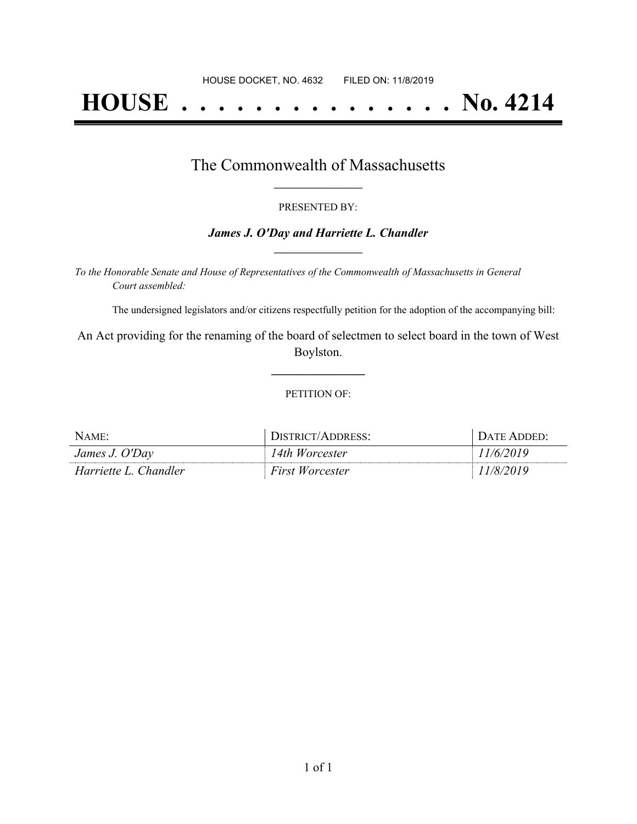# **HOUSE . . . . . . . . . . . . . . . No. 4214**

### The Commonwealth of Massachusetts **\_\_\_\_\_\_\_\_\_\_\_\_\_\_\_\_\_**

#### PRESENTED BY:

#### *James J. O'Day and Harriette L. Chandler* **\_\_\_\_\_\_\_\_\_\_\_\_\_\_\_\_\_**

*To the Honorable Senate and House of Representatives of the Commonwealth of Massachusetts in General Court assembled:*

The undersigned legislators and/or citizens respectfully petition for the adoption of the accompanying bill:

An Act providing for the renaming of the board of selectmen to select board in the town of West Boylston.

**\_\_\_\_\_\_\_\_\_\_\_\_\_\_\_**

#### PETITION OF:

| NAME:                 | DISTRICT/ADDRESS:      | DATE ADDED: |
|-----------------------|------------------------|-------------|
| James J. O'Day        | 14th Worcester         | 11/6/2019   |
| Harriette L. Chandler | <b>First Worcester</b> | 11/8/2019   |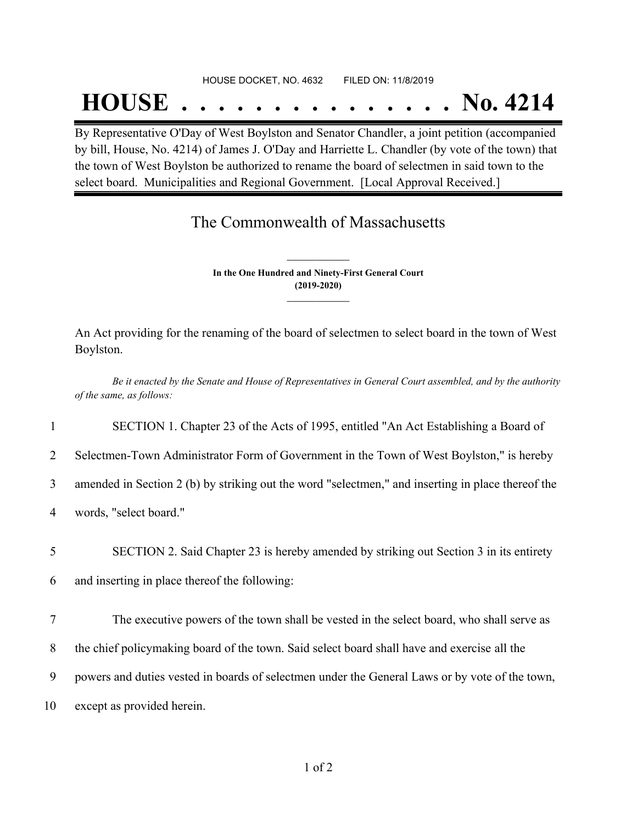#### HOUSE DOCKET, NO. 4632 FILED ON: 11/8/2019

## **HOUSE . . . . . . . . . . . . . . . No. 4214**

By Representative O'Day of West Boylston and Senator Chandler, a joint petition (accompanied by bill, House, No. 4214) of James J. O'Day and Harriette L. Chandler (by vote of the town) that the town of West Boylston be authorized to rename the board of selectmen in said town to the select board. Municipalities and Regional Government. [Local Approval Received.]

## The Commonwealth of Massachusetts

**In the One Hundred and Ninety-First General Court (2019-2020) \_\_\_\_\_\_\_\_\_\_\_\_\_\_\_**

**\_\_\_\_\_\_\_\_\_\_\_\_\_\_\_**

An Act providing for the renaming of the board of selectmen to select board in the town of West Boylston.

Be it enacted by the Senate and House of Representatives in General Court assembled, and by the authority *of the same, as follows:*

1 SECTION 1. Chapter 23 of the Acts of 1995, entitled "An Act Establishing a Board of

2 Selectmen-Town Administrator Form of Government in the Town of West Boylston," is hereby

3 amended in Section 2 (b) by striking out the word "selectmen," and inserting in place thereof the

4 words, "select board."

5 SECTION 2. Said Chapter 23 is hereby amended by striking out Section 3 in its entirety

6 and inserting in place thereof the following:

7 The executive powers of the town shall be vested in the select board, who shall serve as

8 the chief policymaking board of the town. Said select board shall have and exercise all the

9 powers and duties vested in boards of selectmen under the General Laws or by vote of the town,

10 except as provided herein.